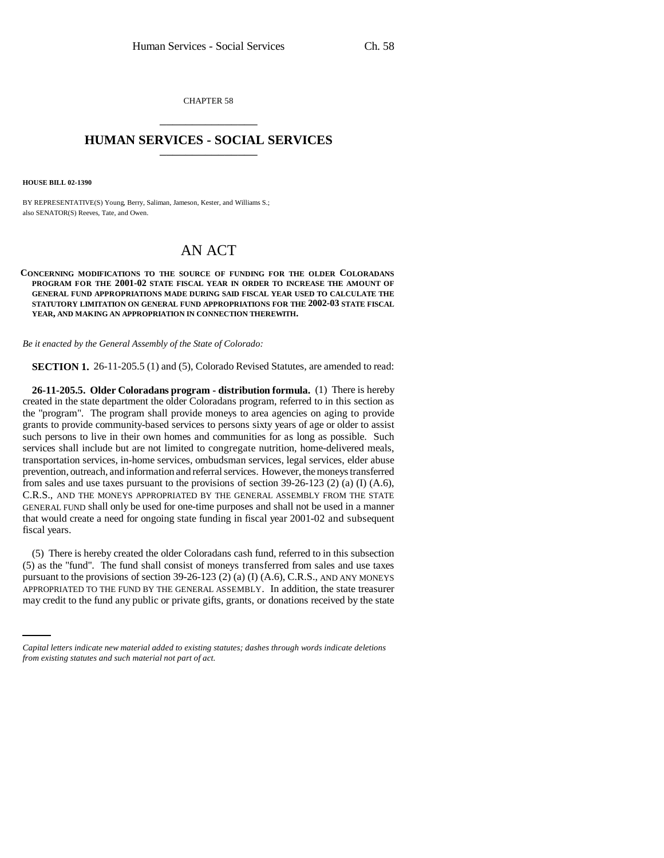CHAPTER 58 \_\_\_\_\_\_\_\_\_\_\_\_\_\_\_

## **HUMAN SERVICES - SOCIAL SERVICES** \_\_\_\_\_\_\_\_\_\_\_\_\_\_\_

**HOUSE BILL 02-1390**

BY REPRESENTATIVE(S) Young, Berry, Saliman, Jameson, Kester, and Williams S.; also SENATOR(S) Reeves, Tate, and Owen.

## AN ACT

## **CONCERNING MODIFICATIONS TO THE SOURCE OF FUNDING FOR THE OLDER COLORADANS PROGRAM FOR THE 2001-02 STATE FISCAL YEAR IN ORDER TO INCREASE THE AMOUNT OF GENERAL FUND APPROPRIATIONS MADE DURING SAID FISCAL YEAR USED TO CALCULATE THE STATUTORY LIMITATION ON GENERAL FUND APPROPRIATIONS FOR THE 2002-03 STATE FISCAL YEAR, AND MAKING AN APPROPRIATION IN CONNECTION THEREWITH.**

*Be it enacted by the General Assembly of the State of Colorado:*

**SECTION 1.** 26-11-205.5 (1) and (5), Colorado Revised Statutes, are amended to read:

**26-11-205.5. Older Coloradans program - distribution formula.** (1) There is hereby created in the state department the older Coloradans program, referred to in this section as the "program". The program shall provide moneys to area agencies on aging to provide grants to provide community-based services to persons sixty years of age or older to assist such persons to live in their own homes and communities for as long as possible. Such services shall include but are not limited to congregate nutrition, home-delivered meals, transportation services, in-home services, ombudsman services, legal services, elder abuse prevention, outreach, and information and referral services. However, the moneys transferred from sales and use taxes pursuant to the provisions of section  $39-26-123$  (2) (a) (I) (A.6), C.R.S., AND THE MONEYS APPROPRIATED BY THE GENERAL ASSEMBLY FROM THE STATE GENERAL FUND shall only be used for one-time purposes and shall not be used in a manner that would create a need for ongoing state funding in fiscal year 2001-02 and subsequent fiscal years.

pursuant to the provisions of section 39-26-123 (2) (a) (I) (A.6), C.R.S., AND ANY MONEYS (5) There is hereby created the older Coloradans cash fund, referred to in this subsection (5) as the "fund". The fund shall consist of moneys transferred from sales and use taxes APPROPRIATED TO THE FUND BY THE GENERAL ASSEMBLY. In addition, the state treasurer may credit to the fund any public or private gifts, grants, or donations received by the state

*Capital letters indicate new material added to existing statutes; dashes through words indicate deletions from existing statutes and such material not part of act.*